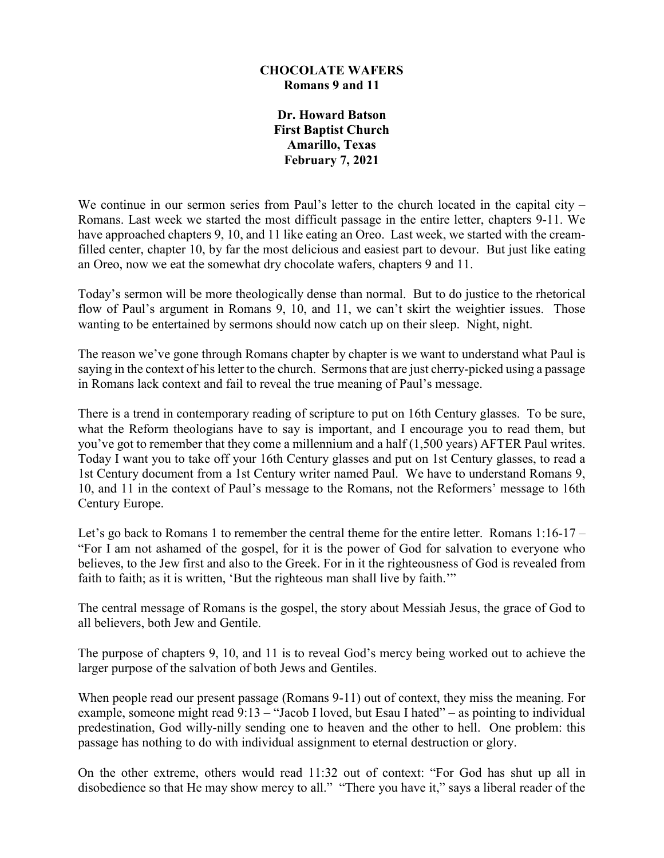## **CHOCOLATE WAFERS Romans 9 and 11**

**Dr. Howard Batson First Baptist Church Amarillo, Texas February 7, 2021**

We continue in our sermon series from Paul's letter to the church located in the capital city – Romans. Last week we started the most difficult passage in the entire letter, chapters 9-11. We have approached chapters 9, 10, and 11 like eating an Oreo. Last week, we started with the creamfilled center, chapter 10, by far the most delicious and easiest part to devour. But just like eating an Oreo, now we eat the somewhat dry chocolate wafers, chapters 9 and 11.

Today's sermon will be more theologically dense than normal. But to do justice to the rhetorical flow of Paul's argument in Romans 9, 10, and 11, we can't skirt the weightier issues. Those wanting to be entertained by sermons should now catch up on their sleep. Night, night.

The reason we've gone through Romans chapter by chapter is we want to understand what Paul is saying in the context of his letter to the church. Sermons that are just cherry-picked using a passage in Romans lack context and fail to reveal the true meaning of Paul's message.

There is a trend in contemporary reading of scripture to put on 16th Century glasses. To be sure, what the Reform theologians have to say is important, and I encourage you to read them, but you've got to remember that they come a millennium and a half (1,500 years) AFTER Paul writes. Today I want you to take off your 16th Century glasses and put on 1st Century glasses, to read a 1st Century document from a 1st Century writer named Paul. We have to understand Romans 9, 10, and 11 in the context of Paul's message to the Romans, not the Reformers' message to 16th Century Europe.

Let's go back to Romans 1 to remember the central theme for the entire letter. Romans 1:16-17 – "For I am not ashamed of the gospel, for it is the power of God for salvation to everyone who believes, to the Jew first and also to the Greek. For in it the righteousness of God is revealed from faith to faith; as it is written, 'But the righteous man shall live by faith.'"

The central message of Romans is the gospel, the story about Messiah Jesus, the grace of God to all believers, both Jew and Gentile.

The purpose of chapters 9, 10, and 11 is to reveal God's mercy being worked out to achieve the larger purpose of the salvation of both Jews and Gentiles.

When people read our present passage (Romans 9-11) out of context, they miss the meaning. For example, someone might read 9:13 – "Jacob I loved, but Esau I hated" – as pointing to individual predestination, God willy-nilly sending one to heaven and the other to hell. One problem: this passage has nothing to do with individual assignment to eternal destruction or glory.

On the other extreme, others would read 11:32 out of context: "For God has shut up all in disobedience so that He may show mercy to all." "There you have it," says a liberal reader of the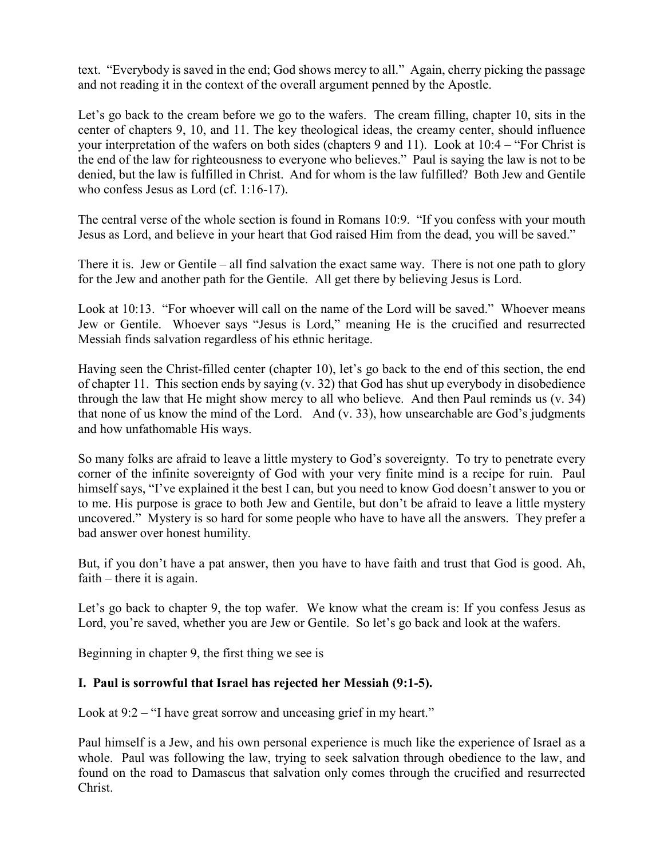text. "Everybody is saved in the end; God shows mercy to all." Again, cherry picking the passage and not reading it in the context of the overall argument penned by the Apostle.

Let's go back to the cream before we go to the wafers. The cream filling, chapter 10, sits in the center of chapters 9, 10, and 11. The key theological ideas, the creamy center, should influence your interpretation of the wafers on both sides (chapters 9 and 11). Look at 10:4 – "For Christ is the end of the law for righteousness to everyone who believes." Paul is saying the law is not to be denied, but the law is fulfilled in Christ. And for whom is the law fulfilled? Both Jew and Gentile who confess Jesus as Lord (cf. 1:16-17).

The central verse of the whole section is found in Romans 10:9. "If you confess with your mouth Jesus as Lord, and believe in your heart that God raised Him from the dead, you will be saved."

There it is. Jew or Gentile – all find salvation the exact same way. There is not one path to glory for the Jew and another path for the Gentile. All get there by believing Jesus is Lord.

Look at 10:13. "For whoever will call on the name of the Lord will be saved." Whoever means Jew or Gentile. Whoever says "Jesus is Lord," meaning He is the crucified and resurrected Messiah finds salvation regardless of his ethnic heritage.

Having seen the Christ-filled center (chapter 10), let's go back to the end of this section, the end of chapter 11. This section ends by saying (v. 32) that God has shut up everybody in disobedience through the law that He might show mercy to all who believe. And then Paul reminds us (v. 34) that none of us know the mind of the Lord. And (v. 33), how unsearchable are God's judgments and how unfathomable His ways.

So many folks are afraid to leave a little mystery to God's sovereignty. To try to penetrate every corner of the infinite sovereignty of God with your very finite mind is a recipe for ruin. Paul himself says, "I've explained it the best I can, but you need to know God doesn't answer to you or to me. His purpose is grace to both Jew and Gentile, but don't be afraid to leave a little mystery uncovered." Mystery is so hard for some people who have to have all the answers. They prefer a bad answer over honest humility.

But, if you don't have a pat answer, then you have to have faith and trust that God is good. Ah, faith – there it is again.

Let's go back to chapter 9, the top wafer. We know what the cream is: If you confess Jesus as Lord, you're saved, whether you are Jew or Gentile. So let's go back and look at the wafers.

Beginning in chapter 9, the first thing we see is

## **I. Paul is sorrowful that Israel has rejected her Messiah (9:1-5).**

Look at 9:2 – "I have great sorrow and unceasing grief in my heart."

Paul himself is a Jew, and his own personal experience is much like the experience of Israel as a whole. Paul was following the law, trying to seek salvation through obedience to the law, and found on the road to Damascus that salvation only comes through the crucified and resurrected Christ.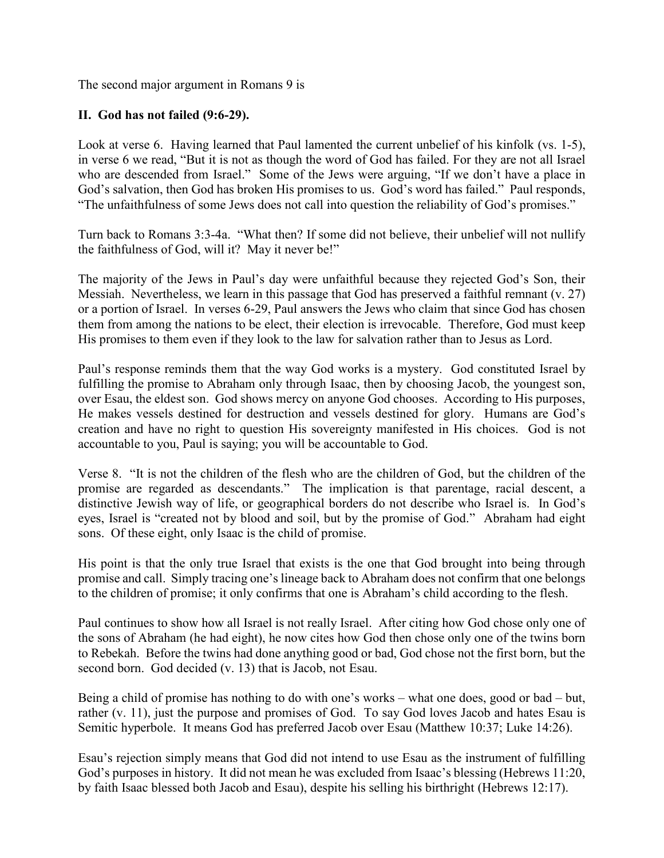The second major argument in Romans 9 is

## **II. God has not failed (9:6-29).**

Look at verse 6. Having learned that Paul lamented the current unbelief of his kinfolk (vs. 1-5), in verse 6 we read, "But it is not as though the word of God has failed. For they are not all Israel who are descended from Israel." Some of the Jews were arguing, "If we don't have a place in God's salvation, then God has broken His promises to us. God's word has failed." Paul responds, "The unfaithfulness of some Jews does not call into question the reliability of God's promises."

Turn back to Romans 3:3-4a. "What then? If some did not believe, their unbelief will not nullify the faithfulness of God, will it? May it never be!"

The majority of the Jews in Paul's day were unfaithful because they rejected God's Son, their Messiah. Nevertheless, we learn in this passage that God has preserved a faithful remnant (v. 27) or a portion of Israel. In verses 6-29, Paul answers the Jews who claim that since God has chosen them from among the nations to be elect, their election is irrevocable. Therefore, God must keep His promises to them even if they look to the law for salvation rather than to Jesus as Lord.

Paul's response reminds them that the way God works is a mystery. God constituted Israel by fulfilling the promise to Abraham only through Isaac, then by choosing Jacob, the youngest son, over Esau, the eldest son. God shows mercy on anyone God chooses. According to His purposes, He makes vessels destined for destruction and vessels destined for glory. Humans are God's creation and have no right to question His sovereignty manifested in His choices. God is not accountable to you, Paul is saying; you will be accountable to God.

Verse 8. "It is not the children of the flesh who are the children of God, but the children of the promise are regarded as descendants." The implication is that parentage, racial descent, a distinctive Jewish way of life, or geographical borders do not describe who Israel is. In God's eyes, Israel is "created not by blood and soil, but by the promise of God." Abraham had eight sons. Of these eight, only Isaac is the child of promise.

His point is that the only true Israel that exists is the one that God brought into being through promise and call. Simply tracing one's lineage back to Abraham does not confirm that one belongs to the children of promise; it only confirms that one is Abraham's child according to the flesh.

Paul continues to show how all Israel is not really Israel. After citing how God chose only one of the sons of Abraham (he had eight), he now cites how God then chose only one of the twins born to Rebekah. Before the twins had done anything good or bad, God chose not the first born, but the second born. God decided (v. 13) that is Jacob, not Esau.

Being a child of promise has nothing to do with one's works – what one does, good or bad – but, rather (v. 11), just the purpose and promises of God. To say God loves Jacob and hates Esau is Semitic hyperbole. It means God has preferred Jacob over Esau (Matthew 10:37; Luke 14:26).

Esau's rejection simply means that God did not intend to use Esau as the instrument of fulfilling God's purposes in history. It did not mean he was excluded from Isaac's blessing (Hebrews 11:20, by faith Isaac blessed both Jacob and Esau), despite his selling his birthright (Hebrews 12:17).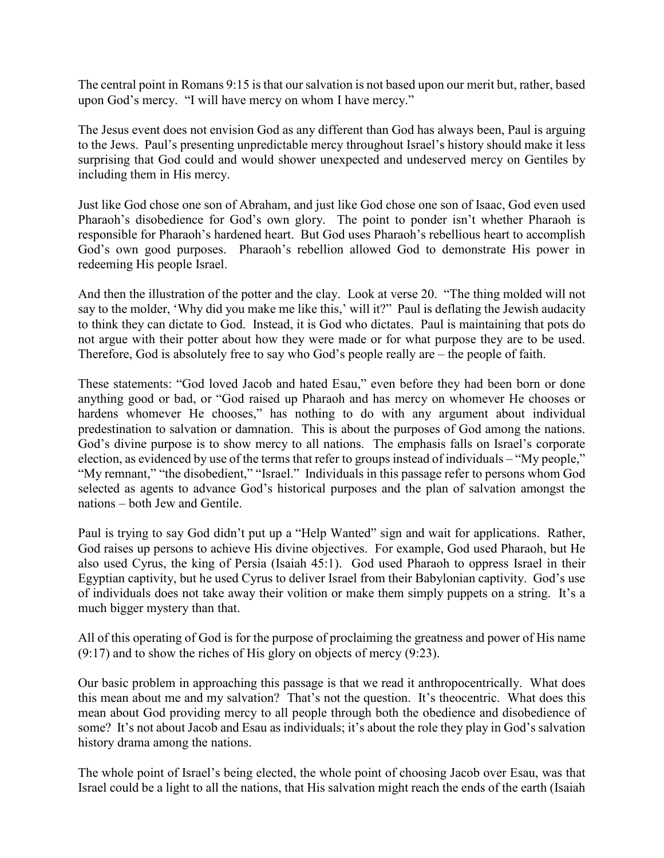The central point in Romans 9:15 is that our salvation is not based upon our merit but, rather, based upon God's mercy. "I will have mercy on whom I have mercy."

The Jesus event does not envision God as any different than God has always been, Paul is arguing to the Jews. Paul's presenting unpredictable mercy throughout Israel's history should make it less surprising that God could and would shower unexpected and undeserved mercy on Gentiles by including them in His mercy.

Just like God chose one son of Abraham, and just like God chose one son of Isaac, God even used Pharaoh's disobedience for God's own glory. The point to ponder isn't whether Pharaoh is responsible for Pharaoh's hardened heart. But God uses Pharaoh's rebellious heart to accomplish God's own good purposes. Pharaoh's rebellion allowed God to demonstrate His power in redeeming His people Israel.

And then the illustration of the potter and the clay. Look at verse 20. "The thing molded will not say to the molder, 'Why did you make me like this,' will it?" Paul is deflating the Jewish audacity to think they can dictate to God. Instead, it is God who dictates. Paul is maintaining that pots do not argue with their potter about how they were made or for what purpose they are to be used. Therefore, God is absolutely free to say who God's people really are – the people of faith.

These statements: "God loved Jacob and hated Esau," even before they had been born or done anything good or bad, or "God raised up Pharaoh and has mercy on whomever He chooses or hardens whomever He chooses," has nothing to do with any argument about individual predestination to salvation or damnation. This is about the purposes of God among the nations. God's divine purpose is to show mercy to all nations. The emphasis falls on Israel's corporate election, as evidenced by use of the terms that refer to groups instead of individuals – "My people," "My remnant," "the disobedient," "Israel." Individuals in this passage refer to persons whom God selected as agents to advance God's historical purposes and the plan of salvation amongst the nations – both Jew and Gentile.

Paul is trying to say God didn't put up a "Help Wanted" sign and wait for applications. Rather, God raises up persons to achieve His divine objectives. For example, God used Pharaoh, but He also used Cyrus, the king of Persia (Isaiah 45:1). God used Pharaoh to oppress Israel in their Egyptian captivity, but he used Cyrus to deliver Israel from their Babylonian captivity. God's use of individuals does not take away their volition or make them simply puppets on a string. It's a much bigger mystery than that.

All of this operating of God is for the purpose of proclaiming the greatness and power of His name (9:17) and to show the riches of His glory on objects of mercy (9:23).

Our basic problem in approaching this passage is that we read it anthropocentrically. What does this mean about me and my salvation? That's not the question. It's theocentric. What does this mean about God providing mercy to all people through both the obedience and disobedience of some? It's not about Jacob and Esau as individuals; it's about the role they play in God's salvation history drama among the nations.

The whole point of Israel's being elected, the whole point of choosing Jacob over Esau, was that Israel could be a light to all the nations, that His salvation might reach the ends of the earth (Isaiah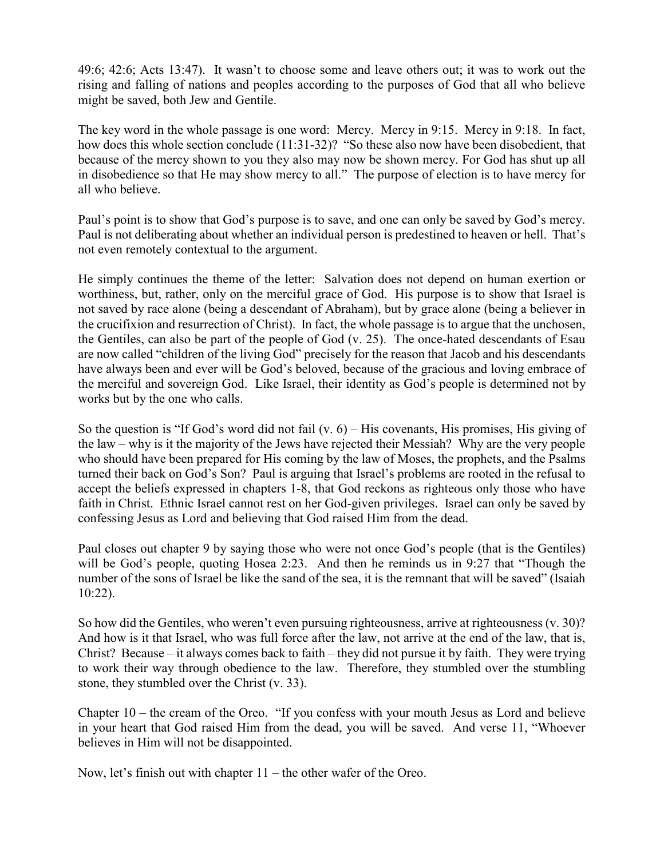49:6; 42:6; Acts 13:47). It wasn't to choose some and leave others out; it was to work out the rising and falling of nations and peoples according to the purposes of God that all who believe might be saved, both Jew and Gentile.

The key word in the whole passage is one word: Mercy. Mercy in 9:15. Mercy in 9:18. In fact, how does this whole section conclude (11:31-32)? "So these also now have been disobedient, that because of the mercy shown to you they also may now be shown mercy. For God has shut up all in disobedience so that He may show mercy to all." The purpose of election is to have mercy for all who believe.

Paul's point is to show that God's purpose is to save, and one can only be saved by God's mercy. Paul is not deliberating about whether an individual person is predestined to heaven or hell. That's not even remotely contextual to the argument.

He simply continues the theme of the letter: Salvation does not depend on human exertion or worthiness, but, rather, only on the merciful grace of God. His purpose is to show that Israel is not saved by race alone (being a descendant of Abraham), but by grace alone (being a believer in the crucifixion and resurrection of Christ). In fact, the whole passage is to argue that the unchosen, the Gentiles, can also be part of the people of God (v. 25). The once-hated descendants of Esau are now called "children of the living God" precisely for the reason that Jacob and his descendants have always been and ever will be God's beloved, because of the gracious and loving embrace of the merciful and sovereign God. Like Israel, their identity as God's people is determined not by works but by the one who calls.

So the question is "If God's word did not fail  $(v, 6)$  – His covenants, His promises, His giving of the law – why is it the majority of the Jews have rejected their Messiah? Why are the very people who should have been prepared for His coming by the law of Moses, the prophets, and the Psalms turned their back on God's Son? Paul is arguing that Israel's problems are rooted in the refusal to accept the beliefs expressed in chapters 1-8, that God reckons as righteous only those who have faith in Christ. Ethnic Israel cannot rest on her God-given privileges. Israel can only be saved by confessing Jesus as Lord and believing that God raised Him from the dead.

Paul closes out chapter 9 by saying those who were not once God's people (that is the Gentiles) will be God's people, quoting Hosea 2:23. And then he reminds us in 9:27 that "Though the number of the sons of Israel be like the sand of the sea, it is the remnant that will be saved" (Isaiah 10:22).

So how did the Gentiles, who weren't even pursuing righteousness, arrive at righteousness (v. 30)? And how is it that Israel, who was full force after the law, not arrive at the end of the law, that is, Christ? Because – it always comes back to faith – they did not pursue it by faith. They were trying to work their way through obedience to the law. Therefore, they stumbled over the stumbling stone, they stumbled over the Christ (v. 33).

Chapter 10 – the cream of the Oreo. "If you confess with your mouth Jesus as Lord and believe in your heart that God raised Him from the dead, you will be saved. And verse 11, "Whoever believes in Him will not be disappointed.

Now, let's finish out with chapter 11 – the other wafer of the Oreo.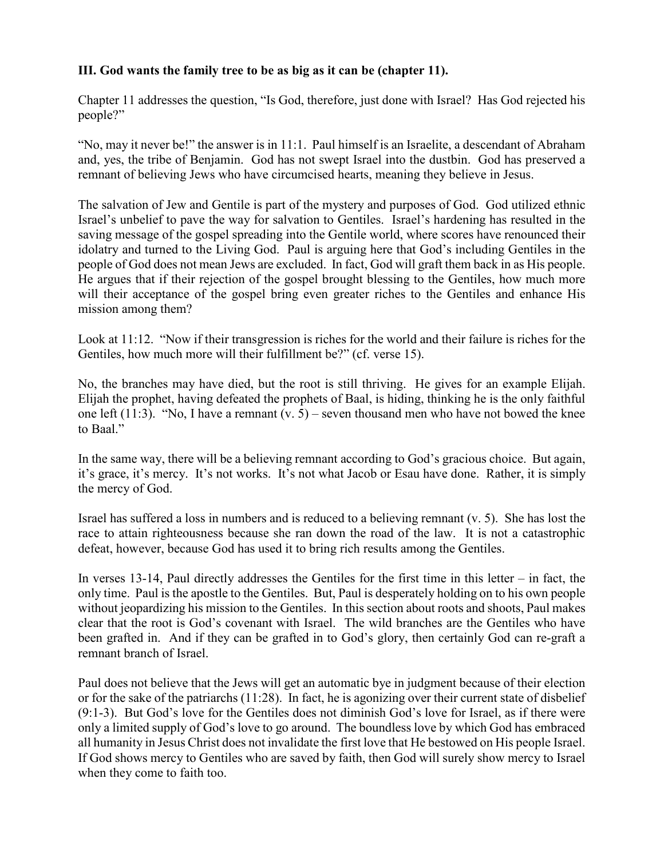## **III. God wants the family tree to be as big as it can be (chapter 11).**

Chapter 11 addresses the question, "Is God, therefore, just done with Israel? Has God rejected his people?"

"No, may it never be!" the answer is in 11:1. Paul himself is an Israelite, a descendant of Abraham and, yes, the tribe of Benjamin. God has not swept Israel into the dustbin. God has preserved a remnant of believing Jews who have circumcised hearts, meaning they believe in Jesus.

The salvation of Jew and Gentile is part of the mystery and purposes of God. God utilized ethnic Israel's unbelief to pave the way for salvation to Gentiles. Israel's hardening has resulted in the saving message of the gospel spreading into the Gentile world, where scores have renounced their idolatry and turned to the Living God. Paul is arguing here that God's including Gentiles in the people of God does not mean Jews are excluded. In fact, God will graft them back in as His people. He argues that if their rejection of the gospel brought blessing to the Gentiles, how much more will their acceptance of the gospel bring even greater riches to the Gentiles and enhance His mission among them?

Look at 11:12. "Now if their transgression is riches for the world and their failure is riches for the Gentiles, how much more will their fulfillment be?" (cf. verse 15).

No, the branches may have died, but the root is still thriving. He gives for an example Elijah. Elijah the prophet, having defeated the prophets of Baal, is hiding, thinking he is the only faithful one left (11:3). "No, I have a remnant  $(v, 5)$  – seven thousand men who have not bowed the knee to Baal."

In the same way, there will be a believing remnant according to God's gracious choice. But again, it's grace, it's mercy. It's not works. It's not what Jacob or Esau have done. Rather, it is simply the mercy of God.

Israel has suffered a loss in numbers and is reduced to a believing remnant (v. 5). She has lost the race to attain righteousness because she ran down the road of the law. It is not a catastrophic defeat, however, because God has used it to bring rich results among the Gentiles.

In verses 13-14, Paul directly addresses the Gentiles for the first time in this letter – in fact, the only time. Paul is the apostle to the Gentiles. But, Paul is desperately holding on to his own people without jeopardizing his mission to the Gentiles. In this section about roots and shoots, Paul makes clear that the root is God's covenant with Israel. The wild branches are the Gentiles who have been grafted in. And if they can be grafted in to God's glory, then certainly God can re-graft a remnant branch of Israel.

Paul does not believe that the Jews will get an automatic bye in judgment because of their election or for the sake of the patriarchs (11:28). In fact, he is agonizing over their current state of disbelief (9:1-3). But God's love for the Gentiles does not diminish God's love for Israel, as if there were only a limited supply of God's love to go around. The boundless love by which God has embraced all humanity in Jesus Christ does not invalidate the first love that He bestowed on His people Israel. If God shows mercy to Gentiles who are saved by faith, then God will surely show mercy to Israel when they come to faith too.